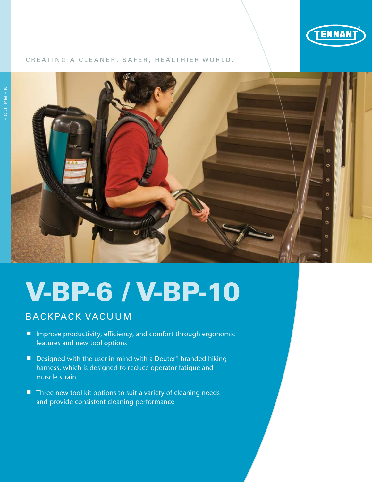

#### CREATING A CLEANER, SAFER, HEALTHIER WORLD.



# V-BP-6 / V-BP-10

### BACKPACK VACUUM

- Improve productivity, efficiency, and comfort through ergonomic features and new tool options
- Designed with the user in mind with a Deuter<sup>®</sup> branded hiking harness, which is designed to reduce operator fatigue and muscle strain
- $\blacksquare$  Three new tool kit options to suit a variety of cleaning needs and provide consistent cleaning performance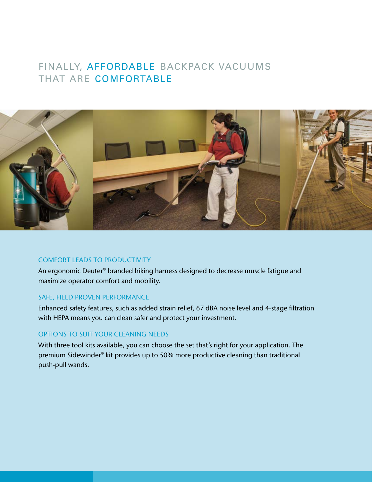### FINALLY, AFFORDABLE BACKPACK VACUUMS THAT ARE COMFORTABLE



#### COMFORT LEADS TO PRODUCTIVITY

An ergonomic Deuter® branded hiking harness designed to decrease muscle fatigue and maximize operator comfort and mobility.

#### SAFE, FIELD PROVEN PERFORMANCE

Enhanced safety features, such as added strain relief, 67 dBA noise level and 4-stage filtration with HEPA means you can clean safer and protect your investment.

### OPTIONS TO SUIT YOUR CLEANING NEEDS

With three tool kits available, you can choose the set that's right for your application. The premium Sidewinder® kit provides up to 50% more productive cleaning than traditional push-pull wands.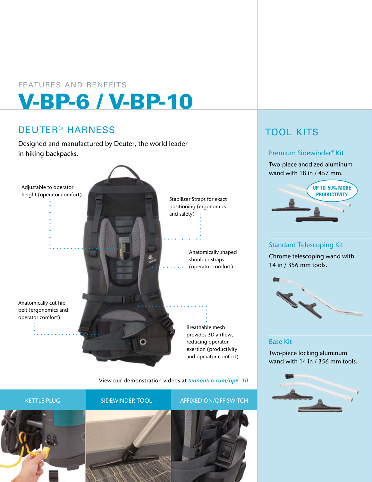## V-BP-6 / V-BP-10 FEATURES AND BENEFITS

### DEUTER® HARNESS

Designed and manufactured by Deuter, the world leader in hiking backpacks.



View our demonstration videos at *tennantco.com/bp6\_10*



## TOOL KITS

### Premium Sidewinder® Kit

Two-piece anodized aluminum wand with 18 in / 457 mm.



Standard Telescoping Kit

Chrome telescoping wand with 14 in / 356 mm tools.



#### Base Kit

Two-piece locking aluminum wand with 14 in / 356 mm tools.